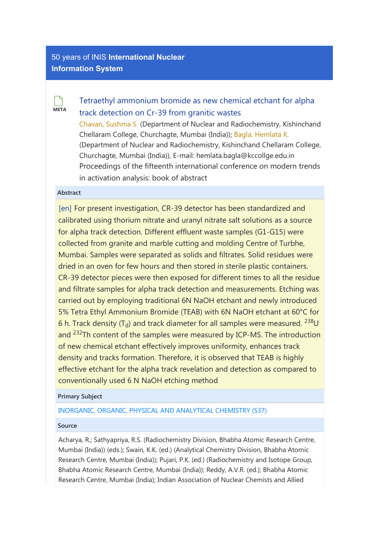# [50 years of INIS](http://inis.iaea.org/search) International Nuclear Information System

**META**  $\Box$ 

# [Tetraethyl ammonium bromide as new chemical etchant for alpha](https://inis.iaea.org/search/searchsinglerecord.aspx?recordsFor=SingleRecord&RN=51098470) [track detection on Cr-39 from granitic wastes](https://inis.iaea.org/search/searchsinglerecord.aspx?recordsFor=SingleRecord&RN=51098470)

[Chavan, Sushma S.](https://inis.iaea.org/search/search.aspx?orig_q=author:%22Chavan,%20Sushma%20S.%22) (Department of Nuclear and Radiochemistry, Kishinchand Chellaram College, Churchagte, Mumbai (India)); [Bagla, Hemlata K.](https://inis.iaea.org/search/search.aspx?orig_q=author:%22Bagla,%20Hemlata%20K.%22) (Department of Nuclear and Radiochemistry, Kishinchand Chellaram College, Churchagte, Mumbai (India)), E-mail: hemlata.bagla@kccollge.edu.in Proceedings of the fifteenth international conference on modern trends in activation analysis: book of abstract

## Abstract

[en] For present investigation, CR-39 detector has been standardized and calibrated using thorium nitrate and uranyl nitrate salt solutions as a source for alpha track detection. Different effluent waste samples (G1-G15) were collected from granite and marble cutting and molding Centre of Turbhe, Mumbai. Samples were separated as solids and filtrates. Solid residues were dried in an oven for few hours and then stored in sterile plastic containers. CR-39 detector pieces were then exposed for different times to all the residue and filtrate samples for alpha track detection and measurements. Etching was carried out by employing traditional 6N NaOH etchant and newly introduced 5% Tetra Ethyl Ammonium Bromide (TEAB) with 6N NaOH etchant at 60°C for 6 h. Track density (T<sub>d</sub>) and track diameter for all samples were measured. <sup>238</sup>U and <sup>232</sup>Th content of the samples were measured by ICP-MS. The introduction of new chemical etchant effectively improves uniformity, enhances track density and tracks formation. Therefore, it is observed that TEAB is highly effective etchant for the alpha track revelation and detection as compared to conventionally used 6 N NaOH etching method

#### Primary Subject

## [INORGANIC, ORGANIC, PHYSICAL AND ANALYTICAL CHEMISTRY \(S37\)](https://inis.iaea.org/search/search.aspx?orig_q=primarysubject:%22INORGANIC,%20ORGANIC,%20PHYSICAL%20AND%20ANALYTICAL%20CHEMISTRY%20(S37)%22)

#### Source

Acharya, R.; Sathyapriya, R.S. (Radiochemistry Division, Bhabha Atomic Research Centre, Mumbai (India)) (eds.); Swain, K.K. (ed.) (Analytical Chemistry Division, Bhabha Atomic Research Centre, Mumbai (India)); Pujari, P.K. (ed.) (Radiochemistry and Isotope Group, Bhabha Atomic Research Centre, Mumbai (India)); Reddy, A.V.R. (ed.); Bhabha Atomic Research Centre, Mumbai (India); Indian Association of Nuclear Chemists and Allied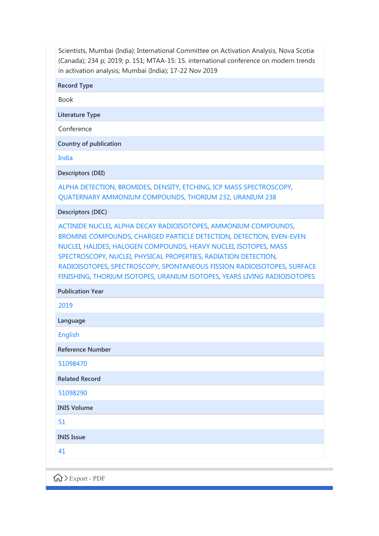Scientists, Mumbai (India); International Committee on Activation Analysis, Nova Scotia (Canada); 234 p; 2019; p. 151; MTAA-15: 15. international conference on modern trends in activation analysis; Mumbai (India); 17-22 Nov 2019

Record Type

Book

Literature Type

Conference

Country of publication

[India](https://inis.iaea.org/search/search.aspx?orig_q=country:%22India%22)

Descriptors (DEI)

[ALPHA DETECTION](https://inis.iaea.org/search/search.aspx?orig_q=DEI:%22ALPHA%20DETECTION%22), [BROMIDES](https://inis.iaea.org/search/search.aspx?orig_q=DEI:%22BROMIDES%22), [DENSITY,](https://inis.iaea.org/search/search.aspx?orig_q=DEI:%22DENSITY%22) [ETCHING](https://inis.iaea.org/search/search.aspx?orig_q=DEI:%22ETCHING%22), [ICP MASS SPECTROSCOPY,](https://inis.iaea.org/search/search.aspx?orig_q=DEI:%22ICP%20MASS%20SPECTROSCOPY%22) [QUATERNARY AMMONIUM COMPOUNDS,](https://inis.iaea.org/search/search.aspx?orig_q=DEI:%22QUATERNARY%20AMMONIUM%20COMPOUNDS%22) [THORIUM 232,](https://inis.iaea.org/search/search.aspx?orig_q=DEI:%22THORIUM%20232%22) [URANIUM 238](https://inis.iaea.org/search/search.aspx?orig_q=DEI:%22URANIUM%20238%22)

Descriptors (DEC)

[ACTINIDE NUCLEI,](https://inis.iaea.org/search/search.aspx?orig_q=DEC:%22ACTINIDE%20NUCLEI%22) [ALPHA DECAY RADIOISOTOPES,](https://inis.iaea.org/search/search.aspx?orig_q=DEC:%22ALPHA%20DECAY%20RADIOISOTOPES%22) [AMMONIUM COMPOUNDS](https://inis.iaea.org/search/search.aspx?orig_q=DEC:%22AMMONIUM%20COMPOUNDS%22), [BROMINE COMPOUNDS,](https://inis.iaea.org/search/search.aspx?orig_q=DEC:%22BROMINE%20COMPOUNDS%22) [CHARGED PARTICLE DETECTION,](https://inis.iaea.org/search/search.aspx?orig_q=DEC:%22CHARGED%20PARTICLE%20DETECTION%22) [DETECTION,](https://inis.iaea.org/search/search.aspx?orig_q=DEC:%22DETECTION%22) [EVEN-EVEN](https://inis.iaea.org/search/search.aspx?orig_q=DEC:%22EVEN-EVEN%20NUCLEI%22) [NUCLEI](https://inis.iaea.org/search/search.aspx?orig_q=DEC:%22EVEN-EVEN%20NUCLEI%22), [HALIDES,](https://inis.iaea.org/search/search.aspx?orig_q=DEC:%22HALIDES%22) [HALOGEN COMPOUNDS](https://inis.iaea.org/search/search.aspx?orig_q=DEC:%22HALOGEN%20COMPOUNDS%22), [HEAVY NUCLEI](https://inis.iaea.org/search/search.aspx?orig_q=DEC:%22HEAVY%20NUCLEI%22), [ISOTOPES](https://inis.iaea.org/search/search.aspx?orig_q=DEC:%22ISOTOPES%22), [MASS](https://inis.iaea.org/search/search.aspx?orig_q=DEC:%22MASS%20SPECTROSCOPY%22) [SPECTROSCOPY](https://inis.iaea.org/search/search.aspx?orig_q=DEC:%22MASS%20SPECTROSCOPY%22), [NUCLEI,](https://inis.iaea.org/search/search.aspx?orig_q=DEC:%22NUCLEI%22) [PHYSICAL PROPERTIES](https://inis.iaea.org/search/search.aspx?orig_q=DEC:%22PHYSICAL%20PROPERTIES%22), [RADIATION DETECTION,](https://inis.iaea.org/search/search.aspx?orig_q=DEC:%22RADIATION%20DETECTION%22) [RADIOISOTOPES](https://inis.iaea.org/search/search.aspx?orig_q=DEC:%22RADIOISOTOPES%22), [SPECTROSCOPY,](https://inis.iaea.org/search/search.aspx?orig_q=DEC:%22SPECTROSCOPY%22) [SPONTANEOUS FISSION RADIOISOTOPES](https://inis.iaea.org/search/search.aspx?orig_q=DEC:%22SPONTANEOUS%20FISSION%20RADIOISOTOPES%22), [SURFACE](https://inis.iaea.org/search/search.aspx?orig_q=DEC:%22SURFACE%20FINISHING%22) [FINISHING,](https://inis.iaea.org/search/search.aspx?orig_q=DEC:%22SURFACE%20FINISHING%22) [THORIUM ISOTOPES](https://inis.iaea.org/search/search.aspx?orig_q=DEC:%22THORIUM%20ISOTOPES%22), [URANIUM ISOTOPES](https://inis.iaea.org/search/search.aspx?orig_q=DEC:%22URANIUM%20ISOTOPES%22), [YEARS LIVING RADIOISOTOPES](https://inis.iaea.org/search/search.aspx?orig_q=DEC:%22YEARS%20LIVING%20RADIOISOTOPES%22)

Publication Year [2019](https://inis.iaea.org/search/search.aspx?orig_q=year:2019) Language [English](https://inis.iaea.org/search/search.aspx?orig_q=language:%22English%22) Reference Number [51098470](https://inis.iaea.org/search/search.aspx?orig_q=RN:51098470) Related Record [51098290](https://inis.iaea.org/search/search.aspx?orig_q=%2251098290%22) INIS Volume [51](https://inis.iaea.org/search/search.aspx?orig_q=volume:51) INIS Issue [41](https://inis.iaea.org/search/search.aspx?orig_q=issue:41)

Export - PDF